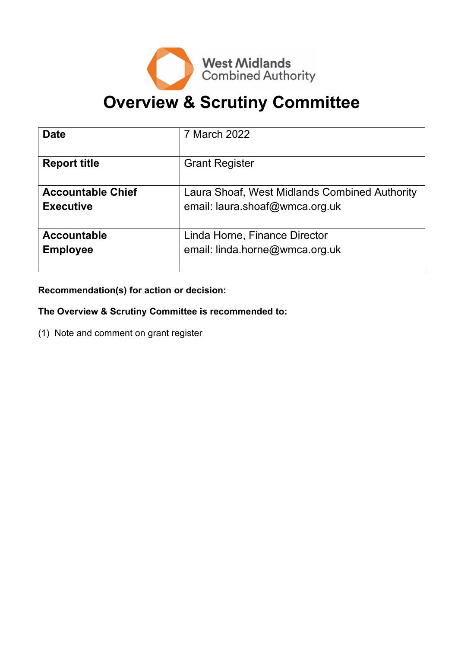

# **Overview & Scrutiny Committee**

| <b>Date</b>              | 7 March 2022                                  |
|--------------------------|-----------------------------------------------|
| <b>Report title</b>      | <b>Grant Register</b>                         |
| <b>Accountable Chief</b> | Laura Shoaf, West Midlands Combined Authority |
| <b>Executive</b>         | email: laura.shoaf@wmca.org.uk                |
| <b>Accountable</b>       | Linda Horne, Finance Director                 |
| <b>Employee</b>          | email: linda.horne@wmca.org.uk                |

**Recommendation(s) for action or decision:**

# **The Overview & Scrutiny Committee is recommended to:**

(1) Note and comment on grant register